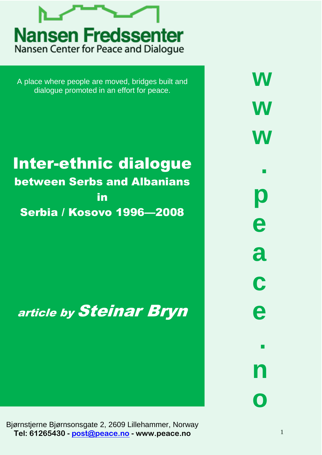

A place where people are moved, bridges built and dialogue promoted in an effort for peace.

## Inter-ethnic dialogue between Serbs and Albanians in Serbia / Kosovo 1996—2008

## article by Steinar Bryn

Bjørnstjerne Bjørnsonsgate 2, 2609 Lillehammer, Norway **Tel: 61265430 - [post@peace.no](mailto:post@peace.no) - www.peace.no**

**w w w p e a c e . n o**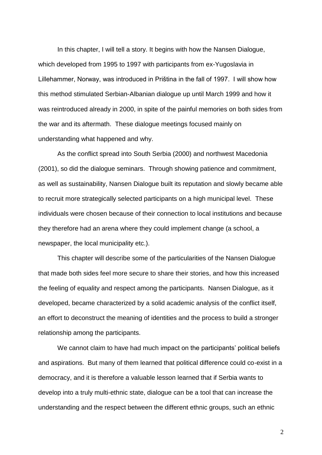In this chapter, I will tell a story. It begins with how the Nansen Dialogue, which developed from 1995 to 1997 with participants from ex-Yugoslavia in Lillehammer, Norway, was introduced in Priština in the fall of 1997. I will show how this method stimulated Serbian-Albanian dialogue up until March 1999 and how it was reintroduced already in 2000, in spite of the painful memories on both sides from the war and its aftermath. These dialogue meetings focused mainly on understanding what happened and why.

As the conflict spread into South Serbia (2000) and northwest Macedonia (2001), so did the dialogue seminars. Through showing patience and commitment, as well as sustainability, Nansen Dialogue built its reputation and slowly became able to recruit more strategically selected participants on a high municipal level. These individuals were chosen because of their connection to local institutions and because they therefore had an arena where they could implement change (a school, a newspaper, the local municipality etc.).

This chapter will describe some of the particularities of the Nansen Dialogue that made both sides feel more secure to share their stories, and how this increased the feeling of equality and respect among the participants. Nansen Dialogue, as it developed, became characterized by a solid academic analysis of the conflict itself, an effort to deconstruct the meaning of identities and the process to build a stronger relationship among the participants.

We cannot claim to have had much impact on the participants' political beliefs and aspirations. But many of them learned that political difference could co-exist in a democracy, and it is therefore a valuable lesson learned that if Serbia wants to develop into a truly multi-ethnic state, dialogue can be a tool that can increase the understanding and the respect between the different ethnic groups, such an ethnic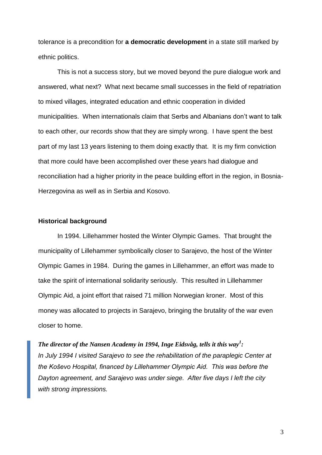tolerance is a precondition for **a democratic development** in a state still marked by ethnic politics.

This is not a success story, but we moved beyond the pure dialogue work and answered, what next? What next became small successes in the field of repatriation to mixed villages, integrated education and ethnic cooperation in divided municipalities. When internationals claim that Serbs and Albanians don't want to talk to each other, our records show that they are simply wrong. I have spent the best part of my last 13 years listening to them doing exactly that. It is my firm conviction that more could have been accomplished over these years had dialogue and reconciliation had a higher priority in the peace building effort in the region, in Bosnia-Herzegovina as well as in Serbia and Kosovo.

#### **Historical background**

In 1994. Lillehammer hosted the Winter Olympic Games. That brought the municipality of Lillehammer symbolically closer to Sarajevo, the host of the Winter Olympic Games in 1984. During the games in Lillehammer, an effort was made to take the spirit of international solidarity seriously. This resulted in Lillehammer Olympic Aid, a joint effort that raised 71 million Norwegian kroner. Most of this money was allocated to projects in Sarajevo, bringing the brutality of the war even closer to home.

*The director of the Nansen Academy in 1994, Inge Eidsvåg, tells it this way<sup>1</sup> : In July 1994 I visited Sarajevo to see the rehabilitation of the paraplegic Center at the Koševo Hospital, financed by Lillehammer Olympic Aid. This was before the Dayton agreement, and Sarajevo was under siege. After five days I left the city with strong impressions.*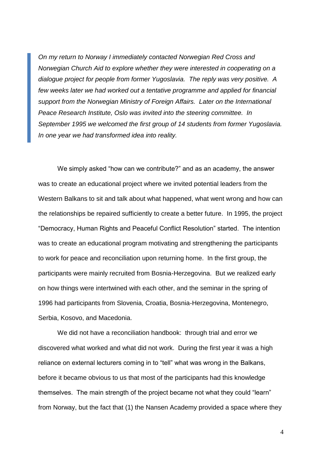*On my return to Norway I immediately contacted Norwegian Red Cross and Norwegian Church Aid to explore whether they were interested in cooperating on a dialogue project for people from former Yugoslavia. The reply was very positive. A few weeks later we had worked out a tentative programme and applied for financial support from the Norwegian Ministry of Foreign Affairs. Later on the International Peace Research Institute, Oslo was invited into the steering committee. In September 1995 we welcomed the first group of 14 students from former Yugoslavia. In one year we had transformed idea into reality.*

We simply asked "how can we contribute?" and as an academy, the answer was to create an educational project where we invited potential leaders from the Western Balkans to sit and talk about what happened, what went wrong and how can the relationships be repaired sufficiently to create a better future. In 1995, the project "Democracy, Human Rights and Peaceful Conflict Resolution" started. The intention was to create an educational program motivating and strengthening the participants to work for peace and reconciliation upon returning home. In the first group, the participants were mainly recruited from Bosnia-Herzegovina. But we realized early on how things were intertwined with each other, and the seminar in the spring of 1996 had participants from Slovenia, Croatia, Bosnia-Herzegovina, Montenegro, Serbia, Kosovo, and Macedonia.

We did not have a reconciliation handbook: through trial and error we discovered what worked and what did not work. During the first year it was a high reliance on external lecturers coming in to "tell" what was wrong in the Balkans, before it became obvious to us that most of the participants had this knowledge themselves. The main strength of the project became not what they could "learn" from Norway, but the fact that (1) the Nansen Academy provided a space where they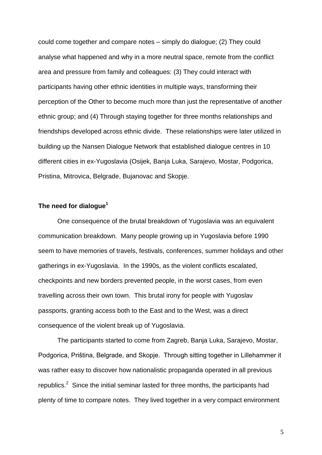could come together and compare notes – simply do dialogue; (2) They could analyse what happened and why in a more neutral space, remote from the conflict area and pressure from family and colleagues: (3) They could interact with participants having other ethnic identities in multiple ways, transforming their perception of the Other to become much more than just the representative of another ethnic group; and (4) Through staying together for three months relationships and friendships developed across ethnic divide. These relationships were later utilized in building up the Nansen Dialogue Network that established dialogue centres in 10 different cities in ex-Yugoslavia (Osijek, Banja Luka, Sarajevo, Mostar, Podgorica, Pristina, Mitrovica, Belgrade, Bujanovac and Skopje.

#### **The need for dialogue<sup>1</sup>**

One consequence of the brutal breakdown of Yugoslavia was an equivalent communication breakdown. Many people growing up in Yugoslavia before 1990 seem to have memories of travels, festivals, conferences, summer holidays and other gatherings in ex-Yugoslavia. In the 1990s, as the violent conflicts escalated, checkpoints and new borders prevented people, in the worst cases, from even travelling across their own town. This brutal irony for people with Yugoslav passports, granting access both to the East and to the West, was a direct consequence of the violent break up of Yugoslavia.

The participants started to come from Zagreb, Banja Luka, Sarajevo, Mostar, Podgorica, Priština, Belgrade, and Skopje. Through sitting together in Lillehammer it was rather easy to discover how nationalistic propaganda operated in all previous republics. $2$  Since the initial seminar lasted for three months, the participants had plenty of time to compare notes. They lived together in a very compact environment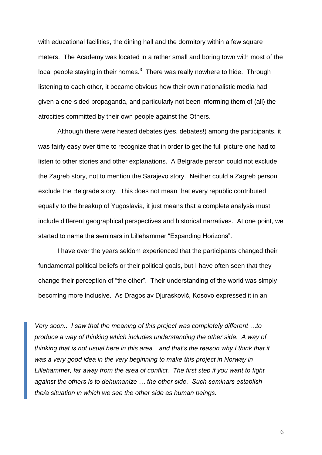with educational facilities, the dining hall and the dormitory within a few square meters. The Academy was located in a rather small and boring town with most of the local people staying in their homes. $3$  There was really nowhere to hide. Through listening to each other, it became obvious how their own nationalistic media had given a one-sided propaganda, and particularly not been informing them of (all) the atrocities committed by their own people against the Others.

Although there were heated debates (yes, debates!) among the participants, it was fairly easy over time to recognize that in order to get the full picture one had to listen to other stories and other explanations. A Belgrade person could not exclude the Zagreb story, not to mention the Sarajevo story. Neither could a Zagreb person exclude the Belgrade story. This does not mean that every republic contributed equally to the breakup of Yugoslavia, it just means that a complete analysis must include different geographical perspectives and historical narratives. At one point, we started to name the seminars in Lillehammer "Expanding Horizons".

I have over the years seldom experienced that the participants changed their fundamental political beliefs or their political goals, but I have often seen that they change their perception of "the other". Their understanding of the world was simply becoming more inclusive. As Dragoslav Djurasković, Kosovo expressed it in an

*Very soon.. I saw that the meaning of this project was completely different …to produce a way of thinking which includes understanding the other side. A way of thinking that is not usual here in this area…and that's the reason why I think that it*  was a very good idea in the very beginning to make this project in Norway in *Lillehammer, far away from the area of conflict. The first step if you want to fight against the others is to dehumanize … the other side. Such seminars establish the/a situation in which we see the other side as human beings.*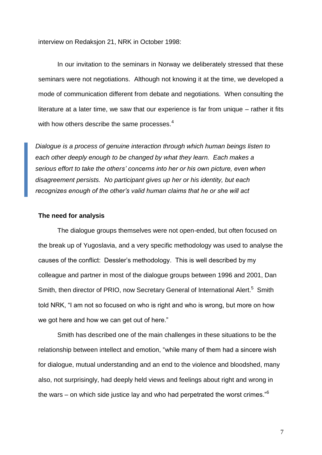interview on Redaksjon 21, NRK in October 1998:

In our invitation to the seminars in Norway we deliberately stressed that these seminars were not negotiations. Although not knowing it at the time, we developed a mode of communication different from debate and negotiations. When consulting the literature at a later time, we saw that our experience is far from unique – rather it fits with how others describe the same processes.<sup>4</sup>

*Dialogue is a process of genuine interaction through which human beings listen to each other deeply enough to be changed by what they learn. Each makes a serious effort to take the others' concerns into her or his own picture, even when disagreement persists. No participant gives up her or his identity, but each recognizes enough of the other's valid human claims that he or she will act* 

#### **The need for analysis**

The dialogue groups themselves were not open-ended, but often focused on the break up of Yugoslavia, and a very specific methodology was used to analyse the causes of the conflict: Dessler's methodology. This is well described by my colleague and partner in most of the dialogue groups between 1996 and 2001, Dan Smith, then director of PRIO, now Secretary General of International Alert.<sup>5</sup> Smith told NRK, "I am not so focused on who is right and who is wrong, but more on how we got here and how we can get out of here."

Smith has described one of the main challenges in these situations to be the relationship between intellect and emotion, "while many of them had a sincere wish for dialogue, mutual understanding and an end to the violence and bloodshed, many also, not surprisingly, had deeply held views and feelings about right and wrong in the wars – on which side justice lay and who had perpetrated the worst crimes." $6$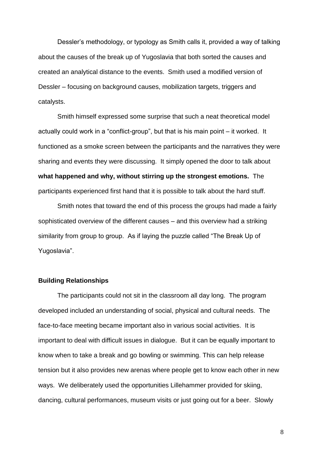Dessler's methodology, or typology as Smith calls it, provided a way of talking about the causes of the break up of Yugoslavia that both sorted the causes and created an analytical distance to the events. Smith used a modified version of Dessler – focusing on background causes, mobilization targets, triggers and catalysts.

Smith himself expressed some surprise that such a neat theoretical model actually could work in a "conflict-group", but that is his main point – it worked. It functioned as a smoke screen between the participants and the narratives they were sharing and events they were discussing. It simply opened the door to talk about **what happened and why, without stirring up the strongest emotions.** The participants experienced first hand that it is possible to talk about the hard stuff.

Smith notes that toward the end of this process the groups had made a fairly sophisticated overview of the different causes – and this overview had a striking similarity from group to group. As if laying the puzzle called "The Break Up of Yugoslavia".

#### **Building Relationships**

The participants could not sit in the classroom all day long. The program developed included an understanding of social, physical and cultural needs. The face-to-face meeting became important also in various social activities. It is important to deal with difficult issues in dialogue. But it can be equally important to know when to take a break and go bowling or swimming. This can help release tension but it also provides new arenas where people get to know each other in new ways. We deliberately used the opportunities Lillehammer provided for skiing, dancing, cultural performances, museum visits or just going out for a beer. Slowly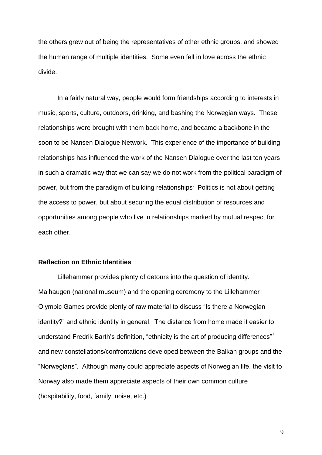the others grew out of being the representatives of other ethnic groups, and showed the human range of multiple identities. Some even fell in love across the ethnic divide.

In a fairly natural way, people would form friendships according to interests in music, sports, culture, outdoors, drinking, and bashing the Norwegian ways. These relationships were brought with them back home, and became a backbone in the soon to be Nansen Dialogue Network. This experience of the importance of building relationships has influenced the work of the Nansen Dialogue over the last ten years in such a dramatic way that we can say we do not work from the political paradigm of power, but from the paradigm of building relationships. Politics is not about getting the access to power, but about securing the equal distribution of resources and opportunities among people who live in relationships marked by mutual respect for each other.

#### **Reflection on Ethnic Identities**

Lillehammer provides plenty of detours into the question of identity. Maihaugen (national museum) and the opening ceremony to the Lillehammer Olympic Games provide plenty of raw material to discuss "Is there a Norwegian identity?" and ethnic identity in general. The distance from home made it easier to understand Fredrik Barth's definition, "ethnicity is the art of producing differences" and new constellations/confrontations developed between the Balkan groups and the "Norwegians". Although many could appreciate aspects of Norwegian life, the visit to Norway also made them appreciate aspects of their own common culture (hospitability, food, family, noise, etc.)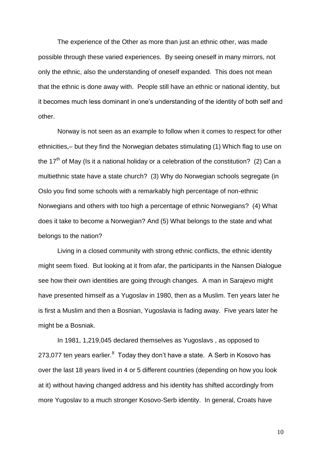The experience of the Other as more than just an ethnic other, was made possible through these varied experiences. By seeing oneself in many mirrors, not only the ethnic, also the understanding of oneself expanded. This does not mean that the ethnic is done away with. People still have an ethnic or national identity, but it becomes much less dominant in one's understanding of the identity of both self and other.

Norway is not seen as an example to follow when it comes to respect for other ethnicities,– but they find the Norwegian debates stimulating (1) Which flag to use on the 17<sup>th</sup> of May (Is it a national holiday or a celebration of the constitution? (2) Can a multiethnic state have a state church? (3) Why do Norwegian schools segregate (in Oslo you find some schools with a remarkably high percentage of non-ethnic Norwegians and others with too high a percentage of ethnic Norwegians? (4) What does it take to become a Norwegian? And (5) What belongs to the state and what belongs to the nation?

Living in a closed community with strong ethnic conflicts, the ethnic identity might seem fixed. But looking at it from afar, the participants in the Nansen Dialogue see how their own identities are going through changes. A man in Sarajevo might have presented himself as a Yugoslav in 1980, then as a Muslim. Ten years later he is first a Muslim and then a Bosnian, Yugoslavia is fading away. Five years later he might be a Bosniak.

In 1981, 1,219,045 declared themselves as Yugoslavs , as opposed to 273,077 ten years earlier. $8$  Today they don't have a state. A Serb in Kosovo has over the last 18 years lived in 4 or 5 different countries (depending on how you look at it) without having changed address and his identity has shifted accordingly from more Yugoslav to a much stronger Kosovo-Serb identity. In general, Croats have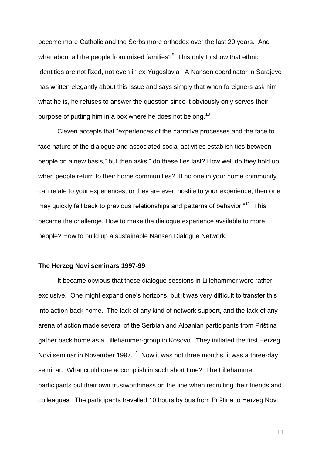become more Catholic and the Serbs more orthodox over the last 20 years. And what about all the people from mixed families? $9\,$  This only to show that ethnic identities are not fixed, not even in ex-Yugoslavia A Nansen coordinator in Sarajevo has written elegantly about this issue and says simply that when foreigners ask him what he is, he refuses to answer the question since it obviously only serves their purpose of putting him in a box where he does not belong.<sup>10</sup>

Cleven accepts that "experiences of the narrative processes and the face to face nature of the dialogue and associated social activities establish ties between people on a new basis," but then asks " do these ties last? How well do they hold up when people return to their home communities? If no one in your home community can relate to your experiences, or they are even hostile to your experience, then one may quickly fall back to previous relationships and patterns of behavior."<sup>11</sup> This became the challenge. How to make the dialogue experience available to more people? How to build up a sustainable Nansen Dialogue Network.

#### **The Herzeg Novi seminars 1997-99**

It became obvious that these dialogue sessions in Lillehammer were rather exclusive. One might expand one's horizons, but it was very difficult to transfer this into action back home. The lack of any kind of network support, and the lack of any arena of action made several of the Serbian and Albanian participants from Priština gather back home as a Lillehammer-group in Kosovo. They initiated the first Herzeg Novi seminar in November 1997.<sup>12</sup> Now it was not three months, it was a three-day seminar. What could one accomplish in such short time? The Lillehammer participants put their own trustworthiness on the line when recruiting their friends and colleagues. The participants travelled 10 hours by bus from Priština to Herzeg Novi.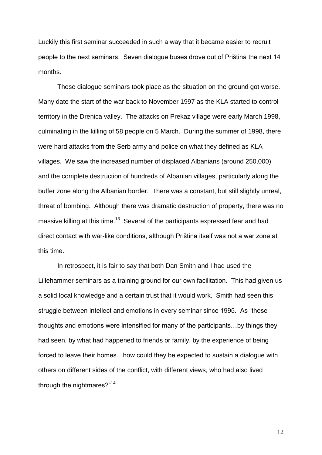Luckily this first seminar succeeded in such a way that it became easier to recruit people to the next seminars. Seven dialogue buses drove out of Priština the next 14 months.

These dialogue seminars took place as the situation on the ground got worse. Many date the start of the war back to November 1997 as the KLA started to control territory in the Drenica valley. The attacks on Prekaz village were early March 1998, culminating in the killing of 58 people on 5 March. During the summer of 1998, there were hard attacks from the Serb army and police on what they defined as KLA villages. We saw the increased number of displaced Albanians (around 250,000) and the complete destruction of hundreds of Albanian villages, particularly along the buffer zone along the Albanian border. There was a constant, but still slightly unreal, threat of bombing. Although there was dramatic destruction of property, there was no massive killing at this time.<sup>13</sup> Several of the participants expressed fear and had direct contact with war-like conditions, although Priština itself was not a war zone at this time.

In retrospect, it is fair to say that both Dan Smith and I had used the Lillehammer seminars as a training ground for our own facilitation. This had given us a solid local knowledge and a certain trust that it would work. Smith had seen this struggle between intellect and emotions in every seminar since 1995. As "these thoughts and emotions were intensified for many of the participants…by things they had seen, by what had happened to friends or family, by the experience of being forced to leave their homes…how could they be expected to sustain a dialogue with others on different sides of the conflict, with different views, who had also lived through the nightmares?"<sup>14</sup>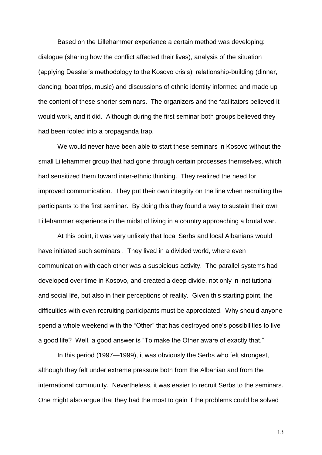Based on the Lillehammer experience a certain method was developing: dialogue (sharing how the conflict affected their lives), analysis of the situation (applying Dessler's methodology to the Kosovo crisis), relationship-building (dinner, dancing, boat trips, music) and discussions of ethnic identity informed and made up the content of these shorter seminars. The organizers and the facilitators believed it would work, and it did. Although during the first seminar both groups believed they had been fooled into a propaganda trap.

We would never have been able to start these seminars in Kosovo without the small Lillehammer group that had gone through certain processes themselves, which had sensitized them toward inter-ethnic thinking. They realized the need for improved communication. They put their own integrity on the line when recruiting the participants to the first seminar. By doing this they found a way to sustain their own Lillehammer experience in the midst of living in a country approaching a brutal war.

At this point, it was very unlikely that local Serbs and local Albanians would have initiated such seminars . They lived in a divided world, where even communication with each other was a suspicious activity. The parallel systems had developed over time in Kosovo, and created a deep divide, not only in institutional and social life, but also in their perceptions of reality. Given this starting point, the difficulties with even recruiting participants must be appreciated. Why should anyone spend a whole weekend with the "Other" that has destroyed one's possibilities to live a good life? Well, a good answer is "To make the Other aware of exactly that."

In this period (1997—1999), it was obviously the Serbs who felt strongest, although they felt under extreme pressure both from the Albanian and from the international community. Nevertheless, it was easier to recruit Serbs to the seminars. One might also argue that they had the most to gain if the problems could be solved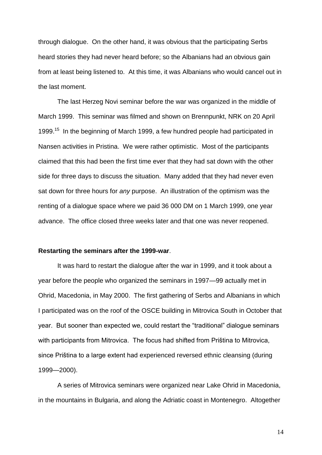through dialogue. On the other hand, it was obvious that the participating Serbs heard stories they had never heard before; so the Albanians had an obvious gain from at least being listened to. At this time, it was Albanians who would cancel out in the last moment.

The last Herzeg Novi seminar before the war was organized in the middle of March 1999. This seminar was filmed and shown on Brennpunkt, NRK on 20 April 1999.<sup>15</sup> In the beginning of March 1999, a few hundred people had participated in Nansen activities in Pristina. We were rather optimistic. Most of the participants claimed that this had been the first time ever that they had sat down with the other side for three days to discuss the situation. Many added that they had never even sat down for three hours for *any* purpose. An illustration of the optimism was the renting of a dialogue space where we paid 36 000 DM on 1 March 1999, one year advance. The office closed three weeks later and that one was never reopened.

#### **Restarting the seminars after the 1999-war**.

It was hard to restart the dialogue after the war in 1999, and it took about a year before the people who organized the seminars in 1997—99 actually met in Ohrid, Macedonia, in May 2000. The first gathering of Serbs and Albanians in which I participated was on the roof of the OSCE building in Mitrovica South in October that year. But sooner than expected we, could restart the "traditional" dialogue seminars with participants from Mitrovica. The focus had shifted from Priština to Mitrovica, since Priština to a large extent had experienced reversed ethnic cleansing (during 1999—2000).

A series of Mitrovica seminars were organized near Lake Ohrid in Macedonia, in the mountains in Bulgaria, and along the Adriatic coast in Montenegro. Altogether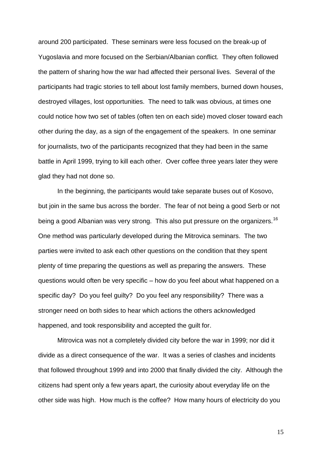around 200 participated. These seminars were less focused on the break-up of Yugoslavia and more focused on the Serbian/Albanian conflict. They often followed the pattern of sharing how the war had affected their personal lives. Several of the participants had tragic stories to tell about lost family members, burned down houses, destroyed villages, lost opportunities. The need to talk was obvious, at times one could notice how two set of tables (often ten on each side) moved closer toward each other during the day, as a sign of the engagement of the speakers. In one seminar for journalists, two of the participants recognized that they had been in the same battle in April 1999, trying to kill each other. Over coffee three years later they were glad they had not done so.

In the beginning, the participants would take separate buses out of Kosovo, but join in the same bus across the border. The fear of not being a good Serb or not being a good Albanian was very strong. This also put pressure on the organizers.<sup>16</sup> One method was particularly developed during the Mitrovica seminars. The two parties were invited to ask each other questions on the condition that they spent plenty of time preparing the questions as well as preparing the answers. These questions would often be very specific – how do you feel about what happened on a specific day? Do you feel guilty? Do you feel any responsibility? There was a stronger need on both sides to hear which actions the others acknowledged happened, and took responsibility and accepted the guilt for.

Mitrovica was not a completely divided city before the war in 1999; nor did it divide as a direct consequence of the war. It was a series of clashes and incidents that followed throughout 1999 and into 2000 that finally divided the city. Although the citizens had spent only a few years apart, the curiosity about everyday life on the other side was high. How much is the coffee? How many hours of electricity do you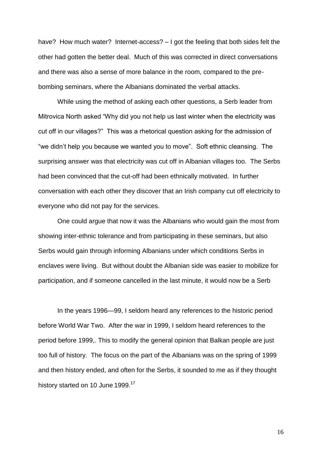have? How much water? Internet-access? – I got the feeling that both sides felt the other had gotten the better deal. Much of this was corrected in direct conversations and there was also a sense of more balance in the room, compared to the prebombing seminars, where the Albanians dominated the verbal attacks.

While using the method of asking each other questions, a Serb leader from Mitrovica North asked "Why did you not help us last winter when the electricity was cut off in our villages?" This was a rhetorical question asking for the admission of "we didn't help you because we wanted you to move". Soft ethnic cleansing. The surprising answer was that electricity was cut off in Albanian villages too. The Serbs had been convinced that the cut-off had been ethnically motivated. In further conversation with each other they discover that an Irish company cut off electricity to everyone who did not pay for the services.

One could argue that now it was the Albanians who would gain the most from showing inter-ethnic tolerance and from participating in these seminars, but also Serbs would gain through informing Albanians under which conditions Serbs in enclaves were living. But without doubt the Albanian side was easier to mobilize for participation, and if someone cancelled in the last minute, it would now be a Serb

In the years 1996—99, I seldom heard any references to the historic period before World War Two. After the war in 1999, I seldom heard references to the period before 1999,. This to modify the general opinion that Balkan people are just too full of history. The focus on the part of the Albanians was on the spring of 1999 and then history ended, and often for the Serbs, it sounded to me as if they thought history started on 10 June 1999.<sup>17</sup>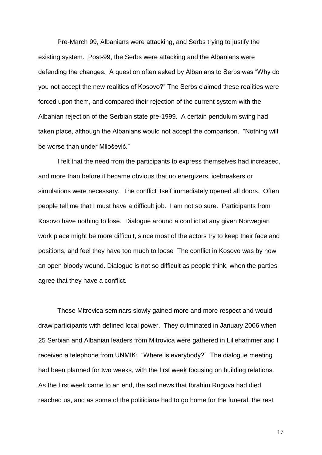Pre-March 99, Albanians were attacking, and Serbs trying to justify the existing system. Post-99, the Serbs were attacking and the Albanians were defending the changes. A question often asked by Albanians to Serbs was "Why do you not accept the new realities of Kosovo?" The Serbs claimed these realities were forced upon them, and compared their rejection of the current system with the Albanian rejection of the Serbian state pre-1999. A certain pendulum swing had taken place, although the Albanians would not accept the comparison. "Nothing will be worse than under Milošević."

I felt that the need from the participants to express themselves had increased, and more than before it became obvious that no energizers, icebreakers or simulations were necessary. The conflict itself immediately opened all doors. Often people tell me that I must have a difficult job. I am not so sure. Participants from Kosovo have nothing to lose. Dialogue around a conflict at any given Norwegian work place might be more difficult, since most of the actors try to keep their face and positions, and feel they have too much to loose The conflict in Kosovo was by now an open bloody wound. Dialogue is not so difficult as people think, when the parties agree that they have a conflict.

These Mitrovica seminars slowly gained more and more respect and would draw participants with defined local power. They culminated in January 2006 when 25 Serbian and Albanian leaders from Mitrovica were gathered in Lillehammer and I received a telephone from UNMIK: "Where is everybody?" The dialogue meeting had been planned for two weeks, with the first week focusing on building relations. As the first week came to an end, the sad news that Ibrahim Rugova had died reached us, and as some of the politicians had to go home for the funeral, the rest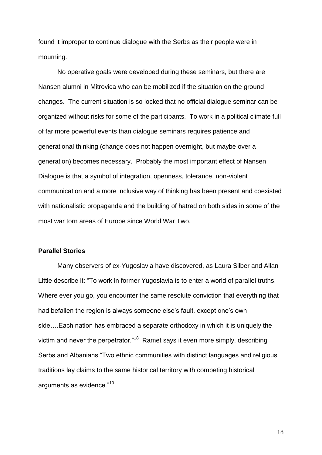found it improper to continue dialogue with the Serbs as their people were in mourning.

No operative goals were developed during these seminars, but there are Nansen alumni in Mitrovica who can be mobilized if the situation on the ground changes. The current situation is so locked that no official dialogue seminar can be organized without risks for some of the participants. To work in a political climate full of far more powerful events than dialogue seminars requires patience and generational thinking (change does not happen overnight, but maybe over a generation) becomes necessary. Probably the most important effect of Nansen Dialogue is that a symbol of integration, openness, tolerance, non-violent communication and a more inclusive way of thinking has been present and coexisted with nationalistic propaganda and the building of hatred on both sides in some of the most war torn areas of Europe since World War Two.

#### **Parallel Stories**

Many observers of ex-Yugoslavia have discovered, as Laura Silber and Allan Little describe it: "To work in former Yugoslavia is to enter a world of parallel truths. Where ever you go, you encounter the same resolute conviction that everything that had befallen the region is always someone else's fault, except one's own side….Each nation has embraced a separate orthodoxy in which it is uniquely the victim and never the perpetrator."<sup>18</sup> Ramet says it even more simply, describing Serbs and Albanians "Two ethnic communities with distinct languages and religious traditions lay claims to the same historical territory with competing historical arguments as evidence."<sup>19</sup>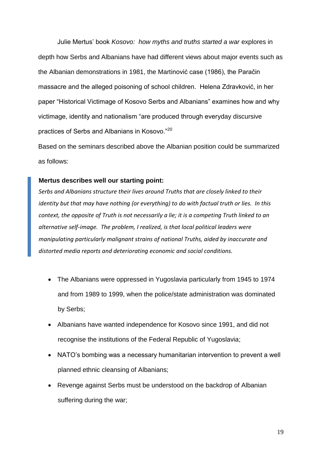Julie Mertus' book *Kosovo: how myths and truths started a war* explores in depth how Serbs and Albanians have had different views about major events such as the Albanian demonstrations in 1981, the Martinović case (1986), the Paračin massacre and the alleged poisoning of school children. Helena Zdravković, in her paper "Historical Victimage of Kosovo Serbs and Albanians" examines how and why victimage, identity and nationalism "are produced through everyday discursive practices of Serbs and Albanians in Kosovo."<sup>20</sup>

Based on the seminars described above the Albanian position could be summarized as follows:

#### **Mertus describes well our starting point:**

*Serbs and Albanians structure their lives around Truths that are closely linked to their identity but that may have nothing (or everything) to do with factual truth or lies. In this context, the opposite of Truth is not necessarily a lie; it is a competing Truth linked to an alternative self-image. The problem, I realized, is that local political leaders were manipulating particularly malignant strains of national Truths, aided by inaccurate and distorted media reports and deteriorating economic and social conditions.*

- The Albanians were oppressed in Yugoslavia particularly from 1945 to 1974 and from 1989 to 1999, when the police/state administration was dominated by Serbs;
- Albanians have wanted independence for Kosovo since 1991, and did not recognise the institutions of the Federal Republic of Yugoslavia;
- NATO's bombing was a necessary humanitarian intervention to prevent a well planned ethnic cleansing of Albanians;
- Revenge against Serbs must be understood on the backdrop of Albanian suffering during the war;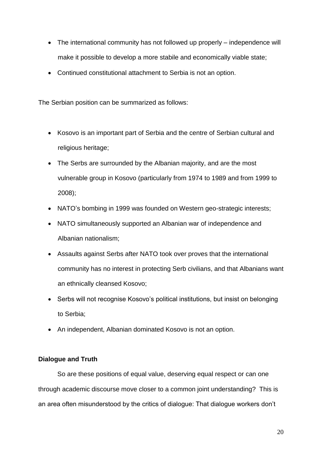- The international community has not followed up properly independence will make it possible to develop a more stabile and economically viable state;
- Continued constitutional attachment to Serbia is not an option.

The Serbian position can be summarized as follows:

- Kosovo is an important part of Serbia and the centre of Serbian cultural and religious heritage;
- The Serbs are surrounded by the Albanian majority, and are the most vulnerable group in Kosovo (particularly from 1974 to 1989 and from 1999 to 2008);
- NATO's bombing in 1999 was founded on Western geo-strategic interests;
- NATO simultaneously supported an Albanian war of independence and Albanian nationalism;
- Assaults against Serbs after NATO took over proves that the international community has no interest in protecting Serb civilians, and that Albanians want an ethnically cleansed Kosovo;
- Serbs will not recognise Kosovo's political institutions, but insist on belonging to Serbia;
- An independent, Albanian dominated Kosovo is not an option.

#### **Dialogue and Truth**

So are these positions of equal value, deserving equal respect or can one through academic discourse move closer to a common joint understanding? This is an area often misunderstood by the critics of dialogue: That dialogue workers don't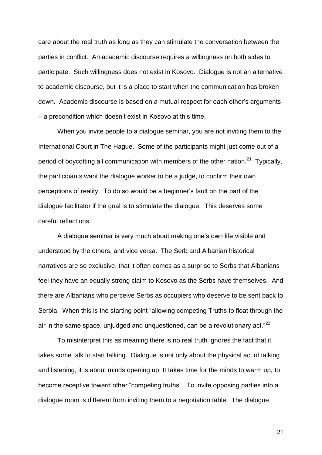care about the real truth as long as they can stimulate the conversation between the parties in conflict. An academic discourse requires a willingness on both sides to participate. Such willingness does not exist in Kosovo. Dialogue is not an alternative to academic discourse, but it is a place to start when the communication has broken down. Academic discourse is based on a mutual respect for each other's arguments – a precondition which doesn't exist in Kosovo at this time.

When you invite people to a dialogue seminar, you are not inviting them to the International Court in The Hague. Some of the participants might just come out of a period of boycotting all communication with members of the other nation.<sup>21</sup> Typically, the participants want the dialogue worker to be a judge, to confirm their own perceptions of reality. To do so would be a beginner's fault on the part of the dialogue facilitator if the goal is to stimulate the dialogue. This deserves some careful reflections.

A dialogue seminar is very much about making one's own life visible and understood by the others, and vice versa. The Serb and Albanian historical narratives are so exclusive, that it often comes as a surprise to Serbs that Albanians feel they have an equally strong claim to Kosovo as the Serbs have themselves. And there are Albanians who perceive Serbs as occupiers who deserve to be sent back to Serbia. When this is the starting point "allowing competing Truths to float through the air in the same space, unjudged and unquestioned, can be a revolutionary act." $^{22}$ 

To misinterpret this as meaning there is no real truth ignores the fact that it takes some talk to start talking. Dialogue is not only about the physical act of talking and listening, it is about minds opening up. It takes time for the minds to warm up, to become receptive toward other "competing truths". To invite opposing parties into a dialogue room is different from inviting them to a negotiation table. The dialogue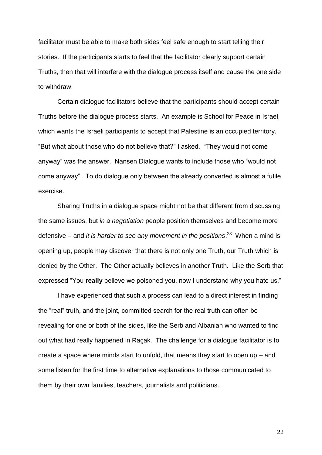facilitator must be able to make both sides feel safe enough to start telling their stories. If the participants starts to feel that the facilitator clearly support certain Truths, then that will interfere with the dialogue process itself and cause the one side to withdraw.

Certain dialogue facilitators believe that the participants should accept certain Truths before the dialogue process starts. An example is School for Peace in Israel, which wants the Israeli participants to accept that Palestine is an occupied territory. "But what about those who do not believe that?" I asked. "They would not come anyway" was the answer. Nansen Dialogue wants to include those who "would not come anyway". To do dialogue only between the already converted is almost a futile exercise.

Sharing Truths in a dialogue space might not be that different from discussing the same issues, but *in a negotiation* people position themselves and become more defensive – and *it is harder to see any movement in the positions*. 23 When a mind is opening up, people may discover that there is not only one Truth, our Truth which is denied by the Other. The Other actually believes in another Truth. Like the Serb that expressed "You **really** believe we poisoned you, now I understand why you hate us."

I have experienced that such a process can lead to a direct interest in finding the "real" truth, and the joint, committed search for the real truth can often be revealing for one or both of the sides, like the Serb and Albanian who wanted to find out what had really happened in Raçak. The challenge for a dialogue facilitator is to create a space where minds start to unfold, that means they start to open up – and some listen for the first time to alternative explanations to those communicated to them by their own families, teachers, journalists and politicians.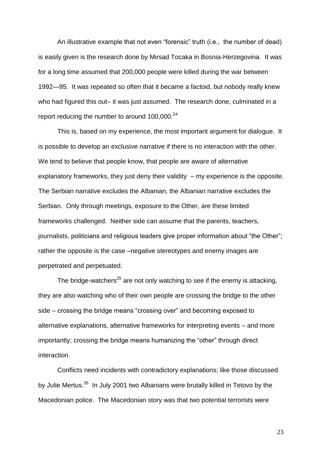An illustrative example that not even "forensic" truth (i.e., the number of dead) is easily given is the research done by Mirsad Tocaka in Bosnia-Herzegovina. It was for a long time assumed that 200,000 people were killed during the war between 1992—95. It was repeated so often that it became a factoid, but nobody really knew who had figured this out– it was just assumed. The research done, culminated in a report reducing the number to around  $100.000^{24}$ 

This is, based on my experience, the most important argument for dialogue. It is possible to develop an exclusive narrative if there is no interaction with the other. We tend to believe that people know, that people are aware of alternative explanatory frameworks, they just deny their validity  $-$  my experience is the opposite. The Serbian narrative excludes the Albanian, the Albanian narrative excludes the Serbian. Only through meetings, exposure to the Other, are these limited frameworks challenged. Neither side can assume that the parents, teachers, journalists, politicians and religious leaders give proper information about "the Other"; rather the opposite is the case –negative stereotypes and enemy images are perpetrated and perpetuated.

The bridge-watchers<sup>25</sup> are not only watching to see if the enemy is attacking. they are also watching who of their own people are crossing the bridge to the other side – crossing the bridge means "crossing over" and becoming exposed to alternative explanations, alternative frameworks for interpreting events – and more importantly; crossing the bridge means humanizing the "other" through direct interaction.

Conflicts need incidents with contradictory explanations; like those discussed by Julie Mertus.<sup>26</sup> In July 2001 two Albanians were brutally killed in Tetovo by the Macedonian police. The Macedonian story was that two potential terrorists were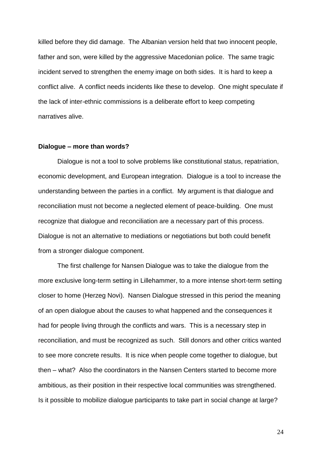killed before they did damage. The Albanian version held that two innocent people, father and son, were killed by the aggressive Macedonian police. The same tragic incident served to strengthen the enemy image on both sides. It is hard to keep a conflict alive. A conflict needs incidents like these to develop. One might speculate if the lack of inter-ethnic commissions is a deliberate effort to keep competing narratives alive.

#### **Dialogue – more than words?**

Dialogue is not a tool to solve problems like constitutional status, repatriation, economic development, and European integration. Dialogue is a tool to increase the understanding between the parties in a conflict. My argument is that dialogue and reconciliation must not become a neglected element of peace-building. One must recognize that dialogue and reconciliation are a necessary part of this process. Dialogue is not an alternative to mediations or negotiations but both could benefit from a stronger dialogue component.

The first challenge for Nansen Dialogue was to take the dialogue from the more exclusive long-term setting in Lillehammer, to a more intense short-term setting closer to home (Herzeg Novi). Nansen Dialogue stressed in this period the meaning of an open dialogue about the causes to what happened and the consequences it had for people living through the conflicts and wars. This is a necessary step in reconciliation, and must be recognized as such. Still donors and other critics wanted to see more concrete results. It is nice when people come together to dialogue, but then – what? Also the coordinators in the Nansen Centers started to become more ambitious, as their position in their respective local communities was strengthened. Is it possible to mobilize dialogue participants to take part in social change at large?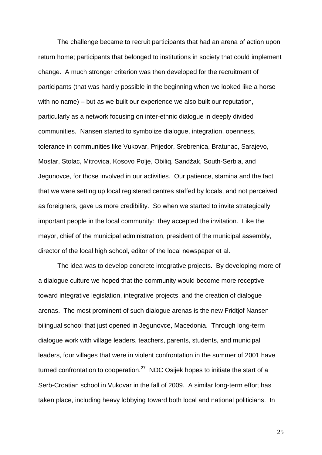The challenge became to recruit participants that had an arena of action upon return home; participants that belonged to institutions in society that could implement change. A much stronger criterion was then developed for the recruitment of participants (that was hardly possible in the beginning when we looked like a horse with no name) – but as we built our experience we also built our reputation, particularly as a network focusing on inter-ethnic dialogue in deeply divided communities. Nansen started to symbolize dialogue, integration, openness, tolerance in communities like Vukovar, Prijedor, Srebrenica, Bratunac, Sarajevo, Mostar, Stolac, Mitrovica, Kosovo Polje, Obiliq, Sandžak, South-Serbia, and Jegunovce, for those involved in our activities. Our patience, stamina and the fact that we were setting up local registered centres staffed by locals, and not perceived as foreigners, gave us more credibility. So when we started to invite strategically important people in the local community: they accepted the invitation. Like the mayor, chief of the municipal administration, president of the municipal assembly, director of the local high school, editor of the local newspaper et al.

The idea was to develop concrete integrative projects. By developing more of a dialogue culture we hoped that the community would become more receptive toward integrative legislation, integrative projects, and the creation of dialogue arenas. The most prominent of such dialogue arenas is the new Fridtjof Nansen bilingual school that just opened in Jegunovce, Macedonia. Through long-term dialogue work with village leaders, teachers, parents, students, and municipal leaders, four villages that were in violent confrontation in the summer of 2001 have turned confrontation to cooperation.<sup>27</sup> NDC Osijek hopes to initiate the start of a Serb-Croatian school in Vukovar in the fall of 2009. A similar long-term effort has taken place, including heavy lobbying toward both local and national politicians. In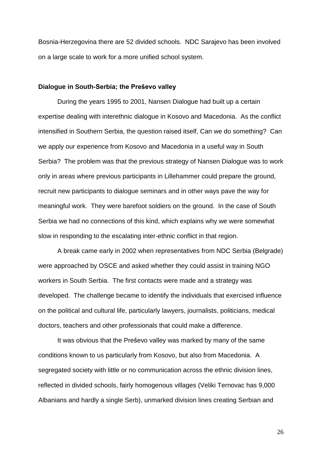Bosnia-Herzegovina there are 52 divided schools. NDC Sarajevo has been involved on a large scale to work for a more unified school system.

#### **Dialogue in South-Serbia; the Preševo valley**

During the years 1995 to 2001, Nansen Dialogue had built up a certain expertise dealing with interethnic dialogue in Kosovo and Macedonia. As the conflict intensified in Southern Serbia, the question raised itself, Can we do something? Can we apply our experience from Kosovo and Macedonia in a useful way in South Serbia? The problem was that the previous strategy of Nansen Dialogue was to work only in areas where previous participants in Lillehammer could prepare the ground, recruit new participants to dialogue seminars and in other ways pave the way for meaningful work. They were barefoot soldiers on the ground. In the case of South Serbia we had no connections of this kind, which explains why we were somewhat slow in responding to the escalating inter-ethnic conflict in that region.

A break came early in 2002 when representatives from NDC Serbia (Belgrade) were approached by OSCE and asked whether they could assist in training NGO workers in South Serbia. The first contacts were made and a strategy was developed. The challenge became to identify the individuals that exercised influence on the political and cultural life, particularly lawyers, journalists, politicians, medical doctors, teachers and other professionals that could make a difference.

It was obvious that the Preševo valley was marked by many of the same conditions known to us particularly from Kosovo, but also from Macedonia. A segregated society with little or no communication across the ethnic division lines, reflected in divided schools, fairly homogenous villages (Veliki Ternovac has 9,000 Albanians and hardly a single Serb), unmarked division lines creating Serbian and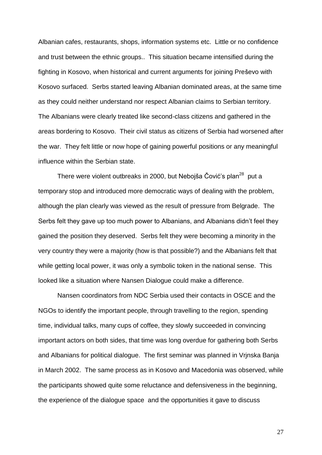Albanian cafes, restaurants, shops, information systems etc. Little or no confidence and trust between the ethnic groups.. This situation became intensified during the fighting in Kosovo, when historical and current arguments for joining Preševo with Kosovo surfaced. Serbs started leaving Albanian dominated areas, at the same time as they could neither understand nor respect Albanian claims to Serbian territory. The Albanians were clearly treated like second-class citizens and gathered in the areas bordering to Kosovo. Their civil status as citizens of Serbia had worsened after the war. They felt little or now hope of gaining powerful positions or any meaningful influence within the Serbian state.

There were violent outbreaks in 2000, but Nebojša Čović's plan<sup>28</sup> put a temporary stop and introduced more democratic ways of dealing with the problem, although the plan clearly was viewed as the result of pressure from Belgrade. The Serbs felt they gave up too much power to Albanians, and Albanians didn't feel they gained the position they deserved. Serbs felt they were becoming a minority in the very country they were a majority (how is that possible?) and the Albanians felt that while getting local power, it was only a symbolic token in the national sense. This looked like a situation where Nansen Dialogue could make a difference.

Nansen coordinators from NDC Serbia used their contacts in OSCE and the NGOs to identify the important people, through travelling to the region, spending time, individual talks, many cups of coffee, they slowly succeeded in convincing important actors on both sides, that time was long overdue for gathering both Serbs and Albanians for political dialogue. The first seminar was planned in Vrjnska Banja in March 2002. The same process as in Kosovo and Macedonia was observed, while the participants showed quite some reluctance and defensiveness in the beginning, the experience of the dialogue space and the opportunities it gave to discuss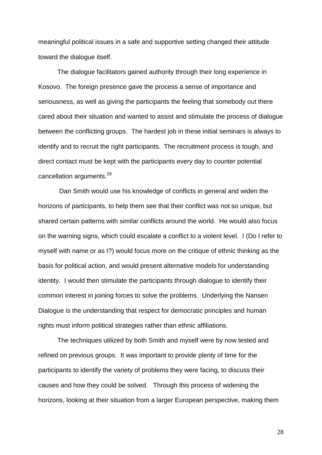meaningful political issues in a safe and supportive setting changed their attitude toward the dialogue itself.

The dialogue facilitators gained authority through their long experience in Kosovo. The foreign presence gave the process a sense of importance and seriousness, as well as giving the participants the feeling that somebody out there cared about their situation and wanted to assist and stimulate the process of dialogue between the conflicting groups. The hardest job in these initial seminars is always to identify and to recruit the right participants. The recruitment process is tough, and direct contact must be kept with the participants every day to counter potential cancellation arguments.<sup>29</sup>

Dan Smith would use his knowledge of conflicts in general and widen the horizons of participants, to help them see that their conflict was not so unique, but shared certain patterns with similar conflicts around the world. He would also focus on the warning signs, which could escalate a conflict to a violent level. I (Do I refer to myself with name or as I?) would focus more on the critique of ethnic thinking as the basis for political action, and would present alternative models for understanding identity. I would then stimulate the participants through dialogue to identify their common interest in joining forces to solve the problems. Underlying the Nansen Dialogue is the understanding that respect for democratic principles and human rights must inform political strategies rather than ethnic affiliations.

The techniques utilized by both Smith and myself were by now tested and refined on previous groups. It was important to provide plenty of time for the participants to identify the variety of problems they were facing, to discuss their causes and how they could be solved. Through this process of widening the horizons, looking at their situation from a larger European perspective, making them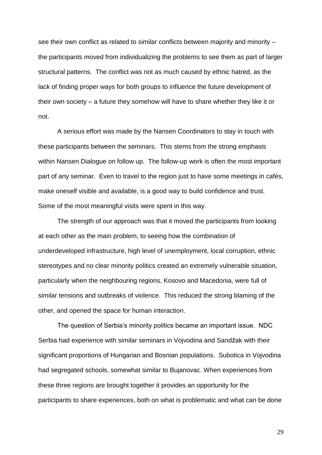see their own conflict as related to similar conflicts between majority and minority – the participants moved from individualizing the problems to see them as part of larger structural patterns. The conflict was not as much caused by ethnic hatred, as the lack of finding proper ways for both groups to influence the future development of their own society – a future they somehow will have to share whether they like it or not.

A serious effort was made by the Nansen Coordinators to stay in touch with these participants between the seminars. This stems from the strong emphasis within Nansen Dialogue on follow up. The follow-up work is often the most important part of any seminar. Even to travel to the region just to have some meetings in cafés, make oneself visible and available, is a good way to build confidence and trust. Some of the most meaningful visits were spent in this way.

The strength of our approach was that it moved the participants from looking at each other as the main problem, to seeing how the combination of underdeveloped infrastructure, high level of unemployment, local corruption, ethnic stereotypes and no clear minority politics created an extremely vulnerable situation, particularly when the neighbouring regions, Kosovo and Macedonia, were full of similar tensions and outbreaks of violence. This reduced the strong blaming of the other, and opened the space for human interaction.

The question of Serbia's minority politics became an important issue. NDC Serbia had experience with similar seminars in Vojvodina and Sandžak with their significant proportions of Hungarian and Bosnian populations. Subotica in Vojvodina had segregated schools, somewhat similar to Bujanovac. When experiences from these three regions are brought together it provides an opportunity for the participants to share experiences, both on what is problematic and what can be done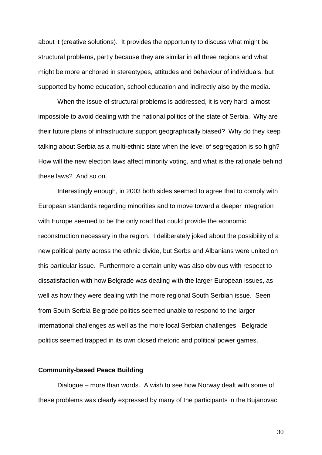about it (creative solutions). It provides the opportunity to discuss what might be structural problems, partly because they are similar in all three regions and what might be more anchored in stereotypes, attitudes and behaviour of individuals, but supported by home education, school education and indirectly also by the media.

When the issue of structural problems is addressed, it is very hard, almost impossible to avoid dealing with the national politics of the state of Serbia. Why are their future plans of infrastructure support geographically biased? Why do they keep talking about Serbia as a multi-ethnic state when the level of segregation is so high? How will the new election laws affect minority voting, and what is the rationale behind these laws? And so on.

Interestingly enough, in 2003 both sides seemed to agree that to comply with European standards regarding minorities and to move toward a deeper integration with Europe seemed to be the only road that could provide the economic reconstruction necessary in the region. I deliberately joked about the possibility of a new political party across the ethnic divide, but Serbs and Albanians were united on this particular issue. Furthermore a certain unity was also obvious with respect to dissatisfaction with how Belgrade was dealing with the larger European issues, as well as how they were dealing with the more regional South Serbian issue. Seen from South Serbia Belgrade politics seemed unable to respond to the larger international challenges as well as the more local Serbian challenges. Belgrade politics seemed trapped in its own closed rhetoric and political power games.

#### **Community-based Peace Building**

Dialogue – more than words. A wish to see how Norway dealt with some of these problems was clearly expressed by many of the participants in the Bujanovac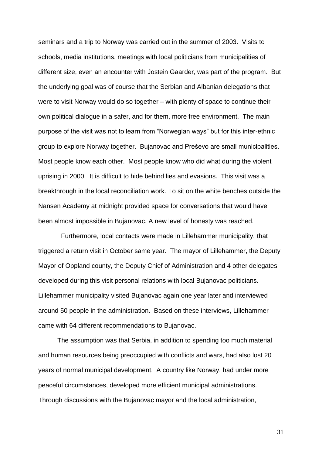seminars and a trip to Norway was carried out in the summer of 2003. Visits to schools, media institutions, meetings with local politicians from municipalities of different size, even an encounter with Jostein Gaarder, was part of the program. But the underlying goal was of course that the Serbian and Albanian delegations that were to visit Norway would do so together – with plenty of space to continue their own political dialogue in a safer, and for them, more free environment. The main purpose of the visit was not to learn from "Norwegian ways" but for this inter-ethnic group to explore Norway together. Bujanovac and Preševo are small municipalities. Most people know each other. Most people know who did what during the violent uprising in 2000. It is difficult to hide behind lies and evasions. This visit was a breakthrough in the local reconciliation work. To sit on the white benches outside the Nansen Academy at midnight provided space for conversations that would have been almost impossible in Bujanovac. A new level of honesty was reached.

 Furthermore, local contacts were made in Lillehammer municipality, that triggered a return visit in October same year. The mayor of Lillehammer, the Deputy Mayor of Oppland county, the Deputy Chief of Administration and 4 other delegates developed during this visit personal relations with local Bujanovac politicians. Lillehammer municipality visited Bujanovac again one year later and interviewed around 50 people in the administration. Based on these interviews, Lillehammer came with 64 different recommendations to Bujanovac.

The assumption was that Serbia, in addition to spending too much material and human resources being preoccupied with conflicts and wars, had also lost 20 years of normal municipal development. A country like Norway, had under more peaceful circumstances, developed more efficient municipal administrations. Through discussions with the Bujanovac mayor and the local administration,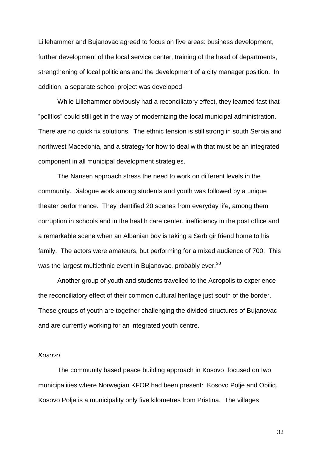Lillehammer and Bujanovac agreed to focus on five areas: business development, further development of the local service center, training of the head of departments, strengthening of local politicians and the development of a city manager position. In addition, a separate school project was developed.

While Lillehammer obviously had a reconciliatory effect, they learned fast that "politics" could still get in the way of modernizing the local municipal administration. There are no quick fix solutions. The ethnic tension is still strong in south Serbia and northwest Macedonia, and a strategy for how to deal with that must be an integrated component in all municipal development strategies.

The Nansen approach stress the need to work on different levels in the community. Dialogue work among students and youth was followed by a unique theater performance. They identified 20 scenes from everyday life, among them corruption in schools and in the health care center, inefficiency in the post office and a remarkable scene when an Albanian boy is taking a Serb girlfriend home to his family. The actors were amateurs, but performing for a mixed audience of 700. This was the largest multiethnic event in Bujanovac, probably ever.<sup>30</sup>

Another group of youth and students travelled to the Acropolis to experience the reconciliatory effect of their common cultural heritage just south of the border. These groups of youth are together challenging the divided structures of Bujanovac and are currently working for an integrated youth centre.

#### *Kosovo*

The community based peace building approach in Kosovo focused on two municipalities where Norwegian KFOR had been present: Kosovo Polje and Obiliq. Kosovo Polje is a municipality only five kilometres from Pristina. The villages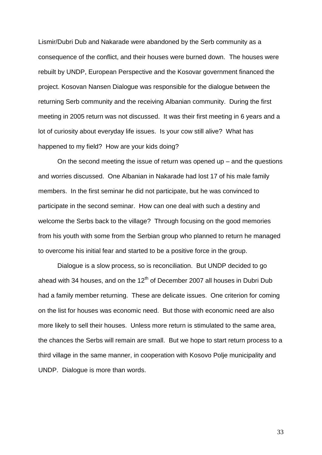Lismir/Dubri Dub and Nakarade were abandoned by the Serb community as a consequence of the conflict, and their houses were burned down. The houses were rebuilt by UNDP, European Perspective and the Kosovar government financed the project. Kosovan Nansen Dialogue was responsible for the dialogue between the returning Serb community and the receiving Albanian community. During the first meeting in 2005 return was not discussed. It was their first meeting in 6 years and a lot of curiosity about everyday life issues. Is your cow still alive? What has happened to my field? How are your kids doing?

On the second meeting the issue of return was opened up  $-$  and the questions and worries discussed. One Albanian in Nakarade had lost 17 of his male family members. In the first seminar he did not participate, but he was convinced to participate in the second seminar. How can one deal with such a destiny and welcome the Serbs back to the village? Through focusing on the good memories from his youth with some from the Serbian group who planned to return he managed to overcome his initial fear and started to be a positive force in the group.

Dialogue is a slow process, so is reconciliation. But UNDP decided to go ahead with 34 houses, and on the  $12<sup>th</sup>$  of December 2007 all houses in Dubri Dub had a family member returning. These are delicate issues. One criterion for coming on the list for houses was economic need. But those with economic need are also more likely to sell their houses. Unless more return is stimulated to the same area, the chances the Serbs will remain are small. But we hope to start return process to a third village in the same manner, in cooperation with Kosovo Polje municipality and UNDP. Dialogue is more than words.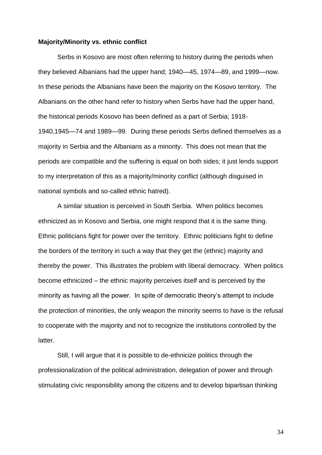#### **Majority/Minority vs. ethnic conflict**

Serbs in Kosovo are most often referring to history during the periods when they believed Albanians had the upper hand; 1940—45, 1974—89, and 1999—now. In these periods the Albanians have been the majority on the Kosovo territory. The Albanians on the other hand refer to history when Serbs have had the upper hand, the historical periods Kosovo has been defined as a part of Serbia; 1918- 1940,1945—74 and 1989—99. During these periods Serbs defined themselves as a majority in Serbia and the Albanians as a minority. This does not mean that the periods are compatible and the suffering is equal on both sides; it just lends support to my interpretation of this as a majority/minority conflict (although disguised in national symbols and so-called ethnic hatred).

A similar situation is perceived in South Serbia. When politics becomes ethnicized as in Kosovo and Serbia, one might respond that it is the same thing. Ethnic politicians fight for power over the territory. Ethnic politicians fight to define the borders of the territory in such a way that they get the (ethnic) majority and thereby the power. This illustrates the problem with liberal democracy. When politics become ethnicized – the ethnic majority perceives itself and is perceived by the minority as having all the power. In spite of democratic theory's attempt to include the protection of minorities, the only weapon the minority seems to have is the refusal to cooperate with the majority and not to recognize the institutions controlled by the latter.

Still, I will argue that it is possible to de-ethnicize politics through the professionalization of the political administration, delegation of power and through stimulating civic responsibility among the citizens and to develop bipartisan thinking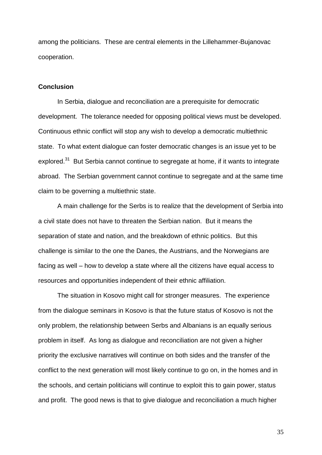among the politicians. These are central elements in the Lillehammer-Bujanovac cooperation.

#### **Conclusion**

In Serbia, dialogue and reconciliation are a prerequisite for democratic development. The tolerance needed for opposing political views must be developed. Continuous ethnic conflict will stop any wish to develop a democratic multiethnic state. To what extent dialogue can foster democratic changes is an issue yet to be explored.<sup>31</sup> But Serbia cannot continue to segregate at home, if it wants to integrate abroad. The Serbian government cannot continue to segregate and at the same time claim to be governing a multiethnic state.

A main challenge for the Serbs is to realize that the development of Serbia into a civil state does not have to threaten the Serbian nation. But it means the separation of state and nation, and the breakdown of ethnic politics. But this challenge is similar to the one the Danes, the Austrians, and the Norwegians are facing as well – how to develop a state where all the citizens have equal access to resources and opportunities independent of their ethnic affiliation.

The situation in Kosovo might call for stronger measures. The experience from the dialogue seminars in Kosovo is that the future status of Kosovo is not the only problem, the relationship between Serbs and Albanians is an equally serious problem in itself. As long as dialogue and reconciliation are not given a higher priority the exclusive narratives will continue on both sides and the transfer of the conflict to the next generation will most likely continue to go on, in the homes and in the schools, and certain politicians will continue to exploit this to gain power, status and profit. The good news is that to give dialogue and reconciliation a much higher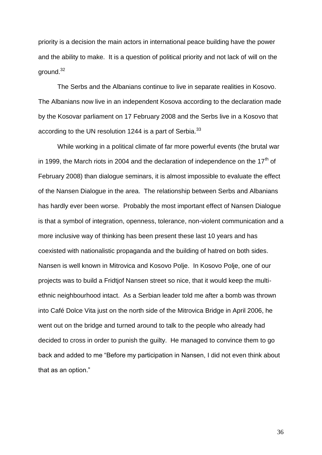priority is a decision the main actors in international peace building have the power and the ability to make. It is a question of political priority and not lack of will on the ground.<sup>32</sup>

The Serbs and the Albanians continue to live in separate realities in Kosovo. The Albanians now live in an independent Kosova according to the declaration made by the Kosovar parliament on 17 February 2008 and the Serbs live in a Kosovo that according to the UN resolution 1244 is a part of Serbia.<sup>33</sup>

While working in a political climate of far more powerful events (the brutal war in 1999, the March riots in 2004 and the declaration of independence on the 17<sup>th</sup> of February 2008) than dialogue seminars, it is almost impossible to evaluate the effect of the Nansen Dialogue in the area. The relationship between Serbs and Albanians has hardly ever been worse. Probably the most important effect of Nansen Dialogue is that a symbol of integration, openness, tolerance, non-violent communication and a more inclusive way of thinking has been present these last 10 years and has coexisted with nationalistic propaganda and the building of hatred on both sides. Nansen is well known in Mitrovica and Kosovo Polje. In Kosovo Polje, one of our projects was to build a Fridtjof Nansen street so nice, that it would keep the multiethnic neighbourhood intact. As a Serbian leader told me after a bomb was thrown into Café Dolce Vita just on the north side of the Mitrovica Bridge in April 2006, he went out on the bridge and turned around to talk to the people who already had decided to cross in order to punish the guilty. He managed to convince them to go back and added to me "Before my participation in Nansen, I did not even think about that as an option."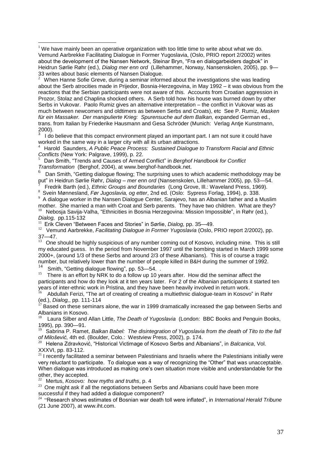2 When Hanne Sofie Greve, during a seminar informed about the investigations she was leading about the Serb atrocities made in Prijedor, Bosnia-Herzegovina, in May 1992 – it was obvious from the reactions that the Serbian participants were not aware of this. Accounts from Croatian aggression in Prozor, Stolaz and Chaplina shocked others. A Serb told how his house was burned down by other Serbs in Vukovar. Paolo Rumiz gives an alternative interpretation – the conflict in Vukovar was as much between newcomers and oldtimers as between Serbs and Croats), etc See P. Rumiz, *Masken für ein Massaker. Der manipulierte Krieg: Spurensuche auf dem Balkan,* expanded German ed., trans. from Italian by Friederike Hausmann and Gesa Schröder (Munich: Verlag Antje Kunstmann, 2000).

3 I do believe that this compact environment played an important part. I am not sure it could have worked in the same way in a larger city with all its urban attractions.

4 Harold Saunders, *A Public Peace Process: Sustained Dialogue to Transform Racial and Ethnic Conflicts* (New York: Palgrave, 1999), p. 22.

5 Dan Smith, "Trends and Causes of Armed Conflict" in *Berghof Handbook for Conflict Transformation* (Berghof, 2004), at www.berghof-handbook.net.

6 Dan Smith, "Getting dialogue flowing; The surprising uses to which academic methodology may be put" in Heidrun Sørlie Røhr, *Dialog – mer enn ord* (Nansenskolen, Lillehammer 2005), pp. 53—54.

7 Fredrik Barth (ed.), *Ethnic Groups and Boundaries* (Long Grove, Ill.: Waveland Press, 1969).

<sup>8</sup> Svein Mønnesland, *Før Jugoslavia, og etter*, 2nd ed. (Oslo: Sypress Forlag, 1994), p. 338.

<sup>9</sup> A dialogue worker in the Nansen Dialogue Center, Sarajevo, has an Albanian father and a Muslim mother. She married a man with Croat and Serb parents. They have two children. What are they? <sup>10</sup> Nebosja Savija-Valha, "Ethnicities in Bosnia Herzegovina: Mission Impossible", in Røhr (ed.), *Dialog,* pp.115-132

<sup>11</sup> Erik Cleven "Between Faces and Stories" in Sørlie, *Dialog,* pp. 35-49.

<sup>12</sup> Vemund Aarbrekke, *Facilitating Dialogue in Former Yugoslavia* (Oslo, PRIO report 2/2002), pp. 37—47.

 $13$  One should be highly suspicious of any number coming out of Kosovo, including mine. This is still my educated guess. In the period from November 1997 until the bombing started in March 1999 some 2000+, (around 1/3 of these Serbs and around 2/3 of these Albanians). This is of course a tragic number, but relatively lower than the number of people killed in B&H during the summer of 1992.

14 Smith, "Getting dialogue flowing", pp. 53—54. .

<u>.</u>

15 There is an effort by NRK to do a follow up 10 years after. How did the seminar affect the participants and how do they look at it ten years later. For 2 of the Albanian participants it started ten years of inter-ethnic work in Pristina, and they have been heavily involved in return work. 16

 Abdullah Ferizi, "The art of creating of creating a multiethnic dialogue-team in Kosovo" in Røhr (ed.), *Dialog,*, pp. 111-114

 $17$  Based on these seminars alone, the war in 1999 dramatically increased the gap between Serbs and Albanians in Kosovo.

<sup>18</sup> Laura Silber and Allan Little, *The Death of Yugoslavia* (London: BBC Books and Penguin Books, 1995), pp. 390—91.

<sup>19</sup> Sabrina P. Ramet, *Balkan Babel: The disintegration of Yugoslavia from the death of Tito to the fall of Milošević,* 4th ed. (Boulder, Colo.: Westview Press, 2002), p. 174.

20 Helena Zdravković, "Historical Victimage of Kosovo Serbs and Albanians", in *Balcanica*, Vol. XXXVI, pp. 83-112.

 $21$  I recently facilitated a seminar between Palestinians and Israelis where the Palestinians initially were very reluctant to participate. To dialogue was a way of recognizing the "Other" that was unacceptable. When dialogue was introduced as making one's own situation more visible and understandable for the other, they accepted.

22 Mertus, *Kosovo: how myths and truths*, p. 4

 $23$  One might ask if all the negotiations between Serbs and Albanians could have been more successful if they had added a dialogue component?

<sup>24</sup> "Research shows estimates of Bosnian war death toll were inflated", in *International Herald Tribune* (21 June 2007), at www.iht.com.

 $1$  We have mainly been an operative organization with too little time to write about what we do. Vemund Aarbrekke Facilitating Dialogue in Former Yugoslavia, (Oslo, PRIO report 2/2002) writes about the development of the Nansen Network, Steinar Bryn, "Fra en dialogarbeiders dagbok" in Heidrun Sørlie Røhr (ed.), *Dialog mer enn ord* (Lillehammer, Norway, Nansenskolen, 2005), pp. 9— 33 writes about basic elements of Nansen Dialogue.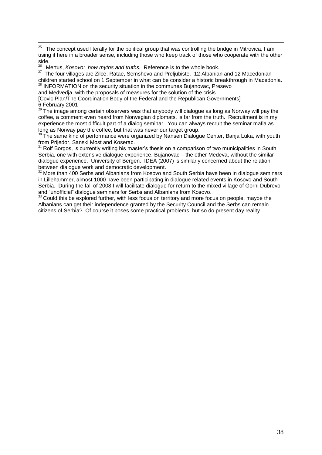25 The concept used literally for the political group that was controlling the bridge in Mitrovica, I am using it here in a broader sense, including those who keep track of those who cooperate with the other side.

26 Mertus, *Kosovo: how myths and truths.* Reference is to the whole book.

 $27$  The four villages are Zilce, Ratae, Semshevo and Preljubiste. 12 Albanian and 12 Macedonian children started school on 1 September in what can be consider a historic breakthrough in Macedonia.  $28$  INFORMATION on the security situation in the communes Bujanovac, Presevo

and Medvedja, with the proposals of measures for the solution of the crisis

[Covic Plan/The Coordination Body of the Federal and the Republican Governments] 6 February 2001

 $29$  The image among certain observers was that anybody will dialogue as long as Norway will pay the coffee, a comment even heard from Norwegian diplomats, is far from the truth. Recruitment is in my experience the most difficult part of a dialog seminar. You can always recruit the seminar mafia as long as Norway pay the coffee, but that was never our target group.

 $30$  The same kind of performance were organized by Nansen Dialogue Center, Banja Luka, with youth from Prijedor, Sanski Most and Koserac.

 $31$  Rolf Borgos, is currently writing his master's thesis on a comparison of two municipalities in South Serbia, one with extensive dialogue experience, Bujanovac – the other Medeva, without the similar dialogue experience. University of Bergen. IDEA (2007) is similarly concerned about the relation between dialogue work and democratic development.

 $32$  More than  $400$  Serbs and Albanians from Kosovo and South Serbia have been in dialogue seminars in Lillehammer, almost 1000 have been participating in dialogue related events in Kosovo and South Serbia. During the fall of 2008 I will facilitate dialogue for return to the mixed village of Gorni Dubrevo and "unofficial" dialogue seminars for Serbs and Albanians from Kosovo.

<sup>33</sup> Could this be explored further, with less focus on territory and more focus on people, maybe the Albanians can get their independence granted by the Security Council and the Serbs can remain citizens of Serbia? Of course it poses some practical problems, but so do present day reality.